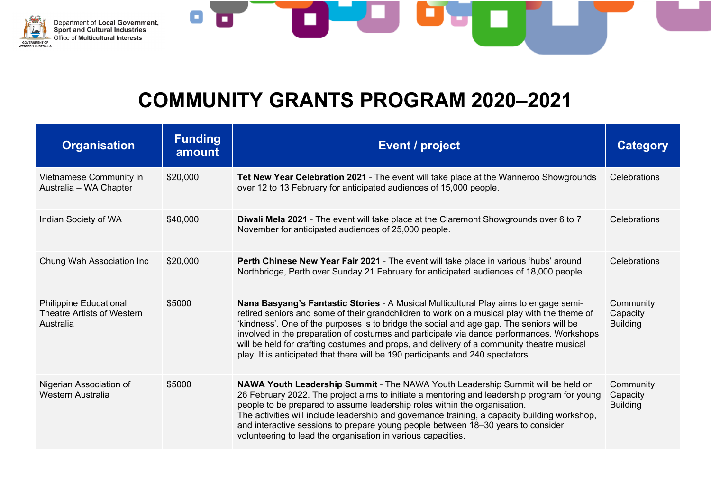



| <b>Organisation</b>                                                             | <b>Funding</b><br>amount | <b>Event / project</b>                                                                                                                                                                                                                                                                                                                                                                                                                                                                                                                                       | <b>Category</b>                          |
|---------------------------------------------------------------------------------|--------------------------|--------------------------------------------------------------------------------------------------------------------------------------------------------------------------------------------------------------------------------------------------------------------------------------------------------------------------------------------------------------------------------------------------------------------------------------------------------------------------------------------------------------------------------------------------------------|------------------------------------------|
| Vietnamese Community in<br>Australia - WA Chapter                               | \$20,000                 | Tet New Year Celebration 2021 - The event will take place at the Wanneroo Showgrounds<br>over 12 to 13 February for anticipated audiences of 15,000 people.                                                                                                                                                                                                                                                                                                                                                                                                  | <b>Celebrations</b>                      |
| Indian Society of WA                                                            | \$40,000                 | Diwali Mela 2021 - The event will take place at the Claremont Showgrounds over 6 to 7<br>November for anticipated audiences of 25,000 people.                                                                                                                                                                                                                                                                                                                                                                                                                | <b>Celebrations</b>                      |
| Chung Wah Association Inc                                                       | \$20,000                 | Perth Chinese New Year Fair 2021 - The event will take place in various 'hubs' around<br>Northbridge, Perth over Sunday 21 February for anticipated audiences of 18,000 people.                                                                                                                                                                                                                                                                                                                                                                              | <b>Celebrations</b>                      |
| <b>Philippine Educational</b><br><b>Theatre Artists of Western</b><br>Australia | \$5000                   | Nana Basyang's Fantastic Stories - A Musical Multicultural Play aims to engage semi-<br>retired seniors and some of their grandchildren to work on a musical play with the theme of<br>'kindness'. One of the purposes is to bridge the social and age gap. The seniors will be<br>involved in the preparation of costumes and participate via dance performances. Workshops<br>will be held for crafting costumes and props, and delivery of a community theatre musical<br>play. It is anticipated that there will be 190 participants and 240 spectators. | Community<br>Capacity<br><b>Building</b> |
| Nigerian Association of<br>Western Australia                                    | \$5000                   | NAWA Youth Leadership Summit - The NAWA Youth Leadership Summit will be held on<br>26 February 2022. The project aims to initiate a mentoring and leadership program for young<br>people to be prepared to assume leadership roles within the organisation.<br>The activities will include leadership and governance training, a capacity building workshop,<br>and interactive sessions to prepare young people between 18–30 years to consider<br>volunteering to lead the organisation in various capacities.                                             | Community<br>Capacity<br><b>Building</b> |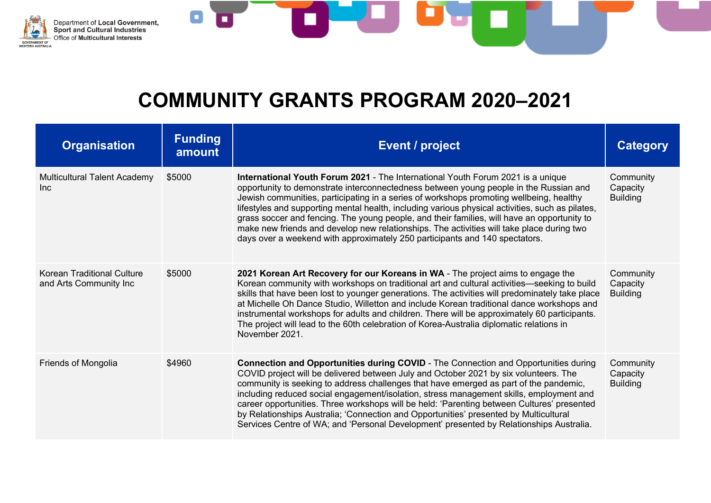



| <b>Organisation</b>                                         | <b>Funding</b><br>amount | <b>Event / project</b>                                                                                                                                                                                                                                                                                                                                                                                                                                                                                                                                                                                                                             | <b>Category</b>                          |
|-------------------------------------------------------------|--------------------------|----------------------------------------------------------------------------------------------------------------------------------------------------------------------------------------------------------------------------------------------------------------------------------------------------------------------------------------------------------------------------------------------------------------------------------------------------------------------------------------------------------------------------------------------------------------------------------------------------------------------------------------------------|------------------------------------------|
| <b>Multicultural Talent Academy</b><br>Inc.                 | \$5000                   | International Youth Forum 2021 - The International Youth Forum 2021 is a unique<br>opportunity to demonstrate interconnectedness between young people in the Russian and<br>Jewish communities, participating in a series of workshops promoting wellbeing, healthy<br>lifestyles and supporting mental health, including various physical activities, such as pilates,<br>grass soccer and fencing. The young people, and their families, will have an opportunity to<br>make new friends and develop new relationships. The activities will take place during two<br>days over a weekend with approximately 250 participants and 140 spectators. | Community<br>Capacity<br><b>Building</b> |
| <b>Korean Traditional Culture</b><br>and Arts Community Inc | \$5000                   | 2021 Korean Art Recovery for our Koreans in WA - The project aims to engage the<br>Korean community with workshops on traditional art and cultural activities—seeking to build<br>skills that have been lost to younger generations. The activities will predominately take place<br>at Michelle Oh Dance Studio, Willetton and include Korean traditional dance workshops and<br>instrumental workshops for adults and children. There will be approximately 60 participants.<br>The project will lead to the 60th celebration of Korea-Australia diplomatic relations in<br>November 2021.                                                       | Community<br>Capacity<br><b>Building</b> |
| Friends of Mongolia                                         | \$4960                   | Connection and Opportunities during COVID - The Connection and Opportunities during<br>COVID project will be delivered between July and October 2021 by six volunteers. The<br>community is seeking to address challenges that have emerged as part of the pandemic,<br>including reduced social engagement/isolation, stress management skills, employment and<br>career opportunities. Three workshops will be held: 'Parenting between Cultures' presented<br>by Relationships Australia; 'Connection and Opportunities' presented by Multicultural<br>Services Centre of WA; and 'Personal Development' presented by Relationships Australia.  | Community<br>Capacity<br><b>Building</b> |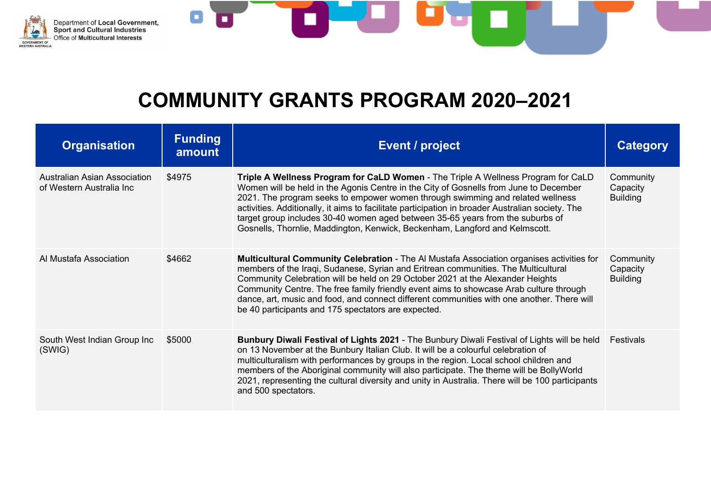



| <b>Organisation</b>                                      | <b>Funding</b><br>amount | Event / project                                                                                                                                                                                                                                                                                                                                                                                                                                                                                                                   | Category                                 |
|----------------------------------------------------------|--------------------------|-----------------------------------------------------------------------------------------------------------------------------------------------------------------------------------------------------------------------------------------------------------------------------------------------------------------------------------------------------------------------------------------------------------------------------------------------------------------------------------------------------------------------------------|------------------------------------------|
| Australian Asian Association<br>of Western Australia Inc | \$4975                   | Triple A Wellness Program for CaLD Women - The Triple A Wellness Program for CaLD<br>Women will be held in the Agonis Centre in the City of Gosnells from June to December<br>2021. The program seeks to empower women through swimming and related wellness<br>activities. Additionally, it aims to facilitate participation in broader Australian society. The<br>target group includes 30-40 women aged between 35-65 years from the suburbs of<br>Gosnells, Thornlie, Maddington, Kenwick, Beckenham, Langford and Kelmscott. | Community<br>Capacity<br><b>Building</b> |
| Al Mustafa Association                                   | \$4662                   | Multicultural Community Celebration - The Al Mustafa Association organises activities for<br>members of the Iraqi, Sudanese, Syrian and Eritrean communities. The Multicultural<br>Community Celebration will be held on 29 October 2021 at the Alexander Heights<br>Community Centre. The free family friendly event aims to showcase Arab culture through<br>dance, art, music and food, and connect different communities with one another. There will<br>be 40 participants and 175 spectators are expected.                  | Community<br>Capacity<br><b>Building</b> |
| South West Indian Group Inc<br>(SWIG)                    | \$5000                   | Bunbury Diwali Festival of Lights 2021 - The Bunbury Diwali Festival of Lights will be held<br>on 13 November at the Bunbury Italian Club. It will be a colourful celebration of<br>multiculturalism with performances by groups in the region. Local school children and<br>members of the Aboriginal community will also participate. The theme will be BollyWorld<br>2021, representing the cultural diversity and unity in Australia. There will be 100 participants<br>and 500 spectators.                                   | Festivals                                |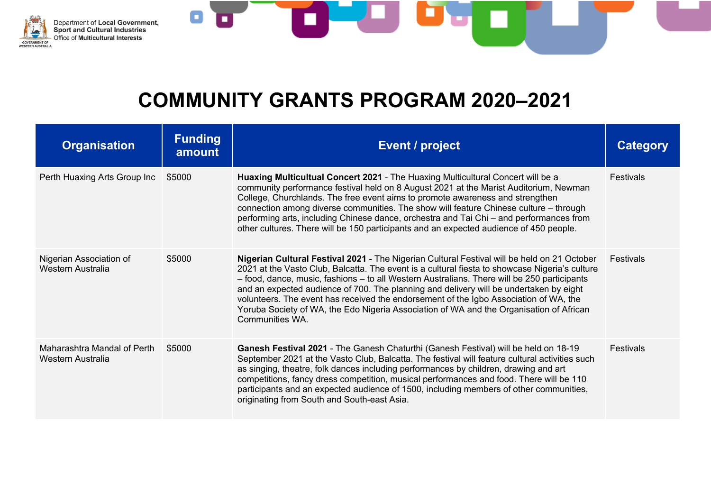



| <b>Organisation</b>                              | <b>Funding</b><br>amount | Event / project                                                                                                                                                                                                                                                                                                                                                                                                                                                                                                                                                                               | Category         |
|--------------------------------------------------|--------------------------|-----------------------------------------------------------------------------------------------------------------------------------------------------------------------------------------------------------------------------------------------------------------------------------------------------------------------------------------------------------------------------------------------------------------------------------------------------------------------------------------------------------------------------------------------------------------------------------------------|------------------|
| Perth Huaxing Arts Group Inc                     | \$5000                   | Huaxing Multicultual Concert 2021 - The Huaxing Multicultural Concert will be a<br>community performance festival held on 8 August 2021 at the Marist Auditorium, Newman<br>College, Churchlands. The free event aims to promote awareness and strengthen<br>connection among diverse communities. The show will feature Chinese culture - through<br>performing arts, including Chinese dance, orchestra and Tai Chi – and performances from<br>other cultures. There will be 150 participants and an expected audience of 450 people.                                                       | Festivals        |
| Nigerian Association of<br>Western Australia     | \$5000                   | Nigerian Cultural Festival 2021 - The Nigerian Cultural Festival will be held on 21 October<br>2021 at the Vasto Club, Balcatta. The event is a cultural fiesta to showcase Nigeria's culture<br>- food, dance, music, fashions - to all Western Australians. There will be 250 participants<br>and an expected audience of 700. The planning and delivery will be undertaken by eight<br>volunteers. The event has received the endorsement of the Igbo Association of WA, the<br>Yoruba Society of WA, the Edo Nigeria Association of WA and the Organisation of African<br>Communities WA. | <b>Festivals</b> |
| Maharashtra Mandal of Perth<br>Western Australia | \$5000                   | Ganesh Festival 2021 - The Ganesh Chaturthi (Ganesh Festival) will be held on 18-19<br>September 2021 at the Vasto Club, Balcatta. The festival will feature cultural activities such<br>as singing, theatre, folk dances including performances by children, drawing and art<br>competitions, fancy dress competition, musical performances and food. There will be 110<br>participants and an expected audience of 1500, including members of other communities,<br>originating from South and South-east Asia.                                                                             | <b>Festivals</b> |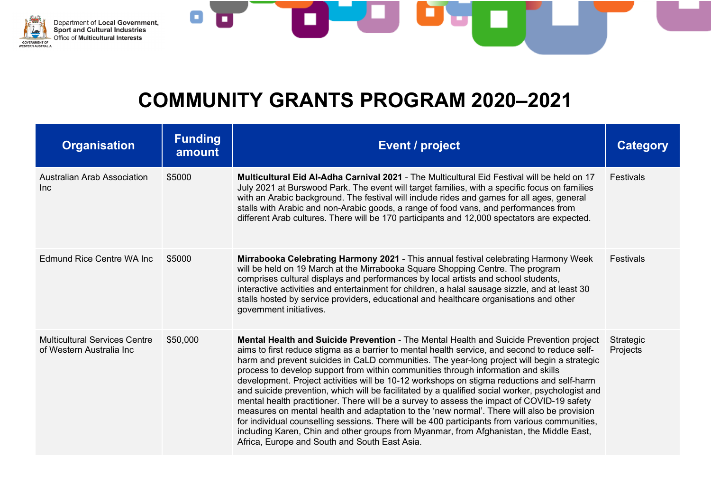



| <b>Organisation</b>                                              | <b>Funding</b><br>amount | <b>Event / project</b>                                                                                                                                                                                                                                                                                                                                                                                                                                                                                                                                                                                                                                                                                                                                                                                                                                                                                                                                                                                                  | <b>Category</b>       |
|------------------------------------------------------------------|--------------------------|-------------------------------------------------------------------------------------------------------------------------------------------------------------------------------------------------------------------------------------------------------------------------------------------------------------------------------------------------------------------------------------------------------------------------------------------------------------------------------------------------------------------------------------------------------------------------------------------------------------------------------------------------------------------------------------------------------------------------------------------------------------------------------------------------------------------------------------------------------------------------------------------------------------------------------------------------------------------------------------------------------------------------|-----------------------|
| Australian Arab Association<br><b>Inc</b>                        | \$5000                   | <b>Multicultural Eid Al-Adha Carnival 2021 - The Multicultural Eid Festival will be held on 17</b><br>July 2021 at Burswood Park. The event will target families, with a specific focus on families<br>with an Arabic background. The festival will include rides and games for all ages, general<br>stalls with Arabic and non-Arabic goods, a range of food vans, and performances from<br>different Arab cultures. There will be 170 participants and 12,000 spectators are expected.                                                                                                                                                                                                                                                                                                                                                                                                                                                                                                                                | <b>Festivals</b>      |
| Edmund Rice Centre WA Inc.                                       | \$5000                   | <b>Mirrabooka Celebrating Harmony 2021 - This annual festival celebrating Harmony Week</b><br>will be held on 19 March at the Mirrabooka Square Shopping Centre. The program<br>comprises cultural displays and performances by local artists and school students,<br>interactive activities and entertainment for children, a halal sausage sizzle, and at least 30<br>stalls hosted by service providers, educational and healthcare organisations and other<br>government initiatives.                                                                                                                                                                                                                                                                                                                                                                                                                                                                                                                               | Festivals             |
| <b>Multicultural Services Centre</b><br>of Western Australia Inc | \$50,000                 | Mental Health and Suicide Prevention - The Mental Health and Suicide Prevention project<br>aims to first reduce stigma as a barrier to mental health service, and second to reduce self-<br>harm and prevent suicides in CaLD communities. The year-long project will begin a strategic<br>process to develop support from within communities through information and skills<br>development. Project activities will be 10-12 workshops on stigma reductions and self-harm<br>and suicide prevention, which will be facilitated by a qualified social worker, psychologist and<br>mental health practitioner. There will be a survey to assess the impact of COVID-19 safety<br>measures on mental health and adaptation to the 'new normal'. There will also be provision<br>for individual counselling sessions. There will be 400 participants from various communities,<br>including Karen, Chin and other groups from Myanmar, from Afghanistan, the Middle East,<br>Africa, Europe and South and South East Asia. | Strategic<br>Projects |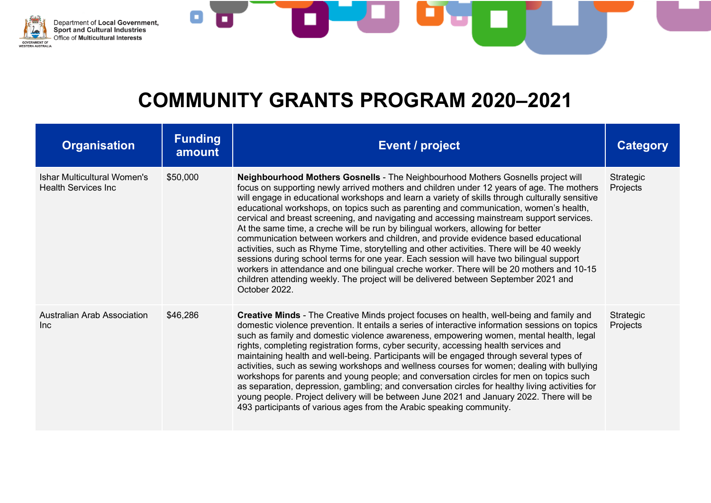



| <b>Organisation</b>                                               | <b>Funding</b><br>amount | <b>Event / project</b>                                                                                                                                                                                                                                                                                                                                                                                                                                                                                                                                                                                                                                                                                                                                                                                                                                                                                                                                                                                                                        | <b>Category</b>       |
|-------------------------------------------------------------------|--------------------------|-----------------------------------------------------------------------------------------------------------------------------------------------------------------------------------------------------------------------------------------------------------------------------------------------------------------------------------------------------------------------------------------------------------------------------------------------------------------------------------------------------------------------------------------------------------------------------------------------------------------------------------------------------------------------------------------------------------------------------------------------------------------------------------------------------------------------------------------------------------------------------------------------------------------------------------------------------------------------------------------------------------------------------------------------|-----------------------|
| <b>Ishar Multicultural Women's</b><br><b>Health Services Inc.</b> | \$50,000                 | Neighbourhood Mothers Gosnells - The Neighbourhood Mothers Gosnells project will<br>focus on supporting newly arrived mothers and children under 12 years of age. The mothers<br>will engage in educational workshops and learn a variety of skills through culturally sensitive<br>educational workshops, on topics such as parenting and communication, women's health,<br>cervical and breast screening, and navigating and accessing mainstream support services.<br>At the same time, a creche will be run by bilingual workers, allowing for better<br>communication between workers and children, and provide evidence based educational<br>activities, such as Rhyme Time, storytelling and other activities. There will be 40 weekly<br>sessions during school terms for one year. Each session will have two bilingual support<br>workers in attendance and one bilingual creche worker. There will be 20 mothers and 10-15<br>children attending weekly. The project will be delivered between September 2021 and<br>October 2022. | Strategic<br>Projects |
| Australian Arab Association<br><b>Inc</b>                         | \$46,286                 | <b>Creative Minds</b> - The Creative Minds project focuses on health, well-being and family and<br>domestic violence prevention. It entails a series of interactive information sessions on topics<br>such as family and domestic violence awareness, empowering women, mental health, legal<br>rights, completing registration forms, cyber security, accessing health services and<br>maintaining health and well-being. Participants will be engaged through several types of<br>activities, such as sewing workshops and wellness courses for women; dealing with bullying<br>workshops for parents and young people; and conversation circles for men on topics such<br>as separation, depression, gambling; and conversation circles for healthy living activities for<br>young people. Project delivery will be between June 2021 and January 2022. There will be<br>493 participants of various ages from the Arabic speaking community.                                                                                              | Strategic<br>Projects |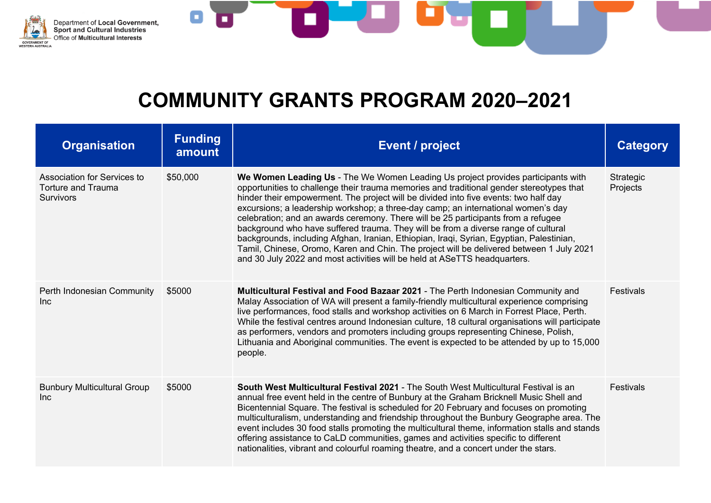



| <b>Organisation</b>                                                          | <b>Funding</b><br>amount | <b>Event / project</b>                                                                                                                                                                                                                                                                                                                                                                                                                                                                                                                                                                                                                                                                                                                                                                                    | Category              |
|------------------------------------------------------------------------------|--------------------------|-----------------------------------------------------------------------------------------------------------------------------------------------------------------------------------------------------------------------------------------------------------------------------------------------------------------------------------------------------------------------------------------------------------------------------------------------------------------------------------------------------------------------------------------------------------------------------------------------------------------------------------------------------------------------------------------------------------------------------------------------------------------------------------------------------------|-----------------------|
| Association for Services to<br><b>Torture and Trauma</b><br><b>Survivors</b> | \$50,000                 | We Women Leading Us - The We Women Leading Us project provides participants with<br>opportunities to challenge their trauma memories and traditional gender stereotypes that<br>hinder their empowerment. The project will be divided into five events: two half day<br>excursions; a leadership workshop; a three-day camp; an international women's day<br>celebration; and an awards ceremony. There will be 25 participants from a refugee<br>background who have suffered trauma. They will be from a diverse range of cultural<br>backgrounds, including Afghan, Iranian, Ethiopian, Iraqi, Syrian, Egyptian, Palestinian,<br>Tamil, Chinese, Oromo, Karen and Chin. The project will be delivered between 1 July 2021<br>and 30 July 2022 and most activities will be held at ASeTTS headquarters. | Strategic<br>Projects |
| Perth Indonesian Community<br><b>Inc</b>                                     | \$5000                   | <b>Multicultural Festival and Food Bazaar 2021 - The Perth Indonesian Community and</b><br>Malay Association of WA will present a family-friendly multicultural experience comprising<br>live performances, food stalls and workshop activities on 6 March in Forrest Place, Perth.<br>While the festival centres around Indonesian culture, 18 cultural organisations will participate<br>as performers, vendors and promoters including groups representing Chinese, Polish,<br>Lithuania and Aboriginal communities. The event is expected to be attended by up to 15,000<br>people.                                                                                                                                                                                                                   | Festivals             |
| <b>Bunbury Multicultural Group</b><br><b>Inc</b>                             | \$5000                   | South West Multicultural Festival 2021 - The South West Multicultural Festival is an<br>annual free event held in the centre of Bunbury at the Graham Bricknell Music Shell and<br>Bicentennial Square. The festival is scheduled for 20 February and focuses on promoting<br>multiculturalism, understanding and friendship throughout the Bunbury Geographe area. The<br>event includes 30 food stalls promoting the multicultural theme, information stalls and stands<br>offering assistance to CaLD communities, games and activities specific to different<br>nationalities, vibrant and colourful roaming theatre, and a concert under the stars.                                                                                                                                                  | Festivals             |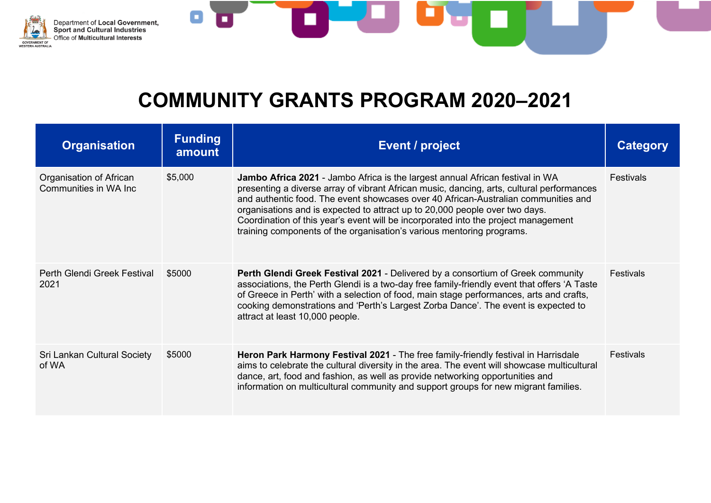



| <b>Organisation</b>                              | <b>Funding</b><br>amount | Event / project                                                                                                                                                                                                                                                                                                                                                                                                                                                                                                       | Category  |
|--------------------------------------------------|--------------------------|-----------------------------------------------------------------------------------------------------------------------------------------------------------------------------------------------------------------------------------------------------------------------------------------------------------------------------------------------------------------------------------------------------------------------------------------------------------------------------------------------------------------------|-----------|
| Organisation of African<br>Communities in WA Inc | \$5,000                  | <b>Jambo Africa 2021</b> - Jambo Africa is the largest annual African festival in WA<br>presenting a diverse array of vibrant African music, dancing, arts, cultural performances<br>and authentic food. The event showcases over 40 African-Australian communities and<br>organisations and is expected to attract up to 20,000 people over two days.<br>Coordination of this year's event will be incorporated into the project management<br>training components of the organisation's various mentoring programs. | Festivals |
| Perth Glendi Greek Festival<br>2021              | \$5000                   | Perth Glendi Greek Festival 2021 - Delivered by a consortium of Greek community<br>associations, the Perth Glendi is a two-day free family-friendly event that offers 'A Taste<br>of Greece in Perth' with a selection of food, main stage performances, arts and crafts,<br>cooking demonstrations and 'Perth's Largest Zorba Dance'. The event is expected to<br>attract at least 10,000 people.                                                                                                                    | Festivals |
| Sri Lankan Cultural Society<br>of WA             | \$5000                   | Heron Park Harmony Festival 2021 - The free family-friendly festival in Harrisdale<br>aims to celebrate the cultural diversity in the area. The event will showcase multicultural<br>dance, art, food and fashion, as well as provide networking opportunities and<br>information on multicultural community and support groups for new migrant families.                                                                                                                                                             | Festivals |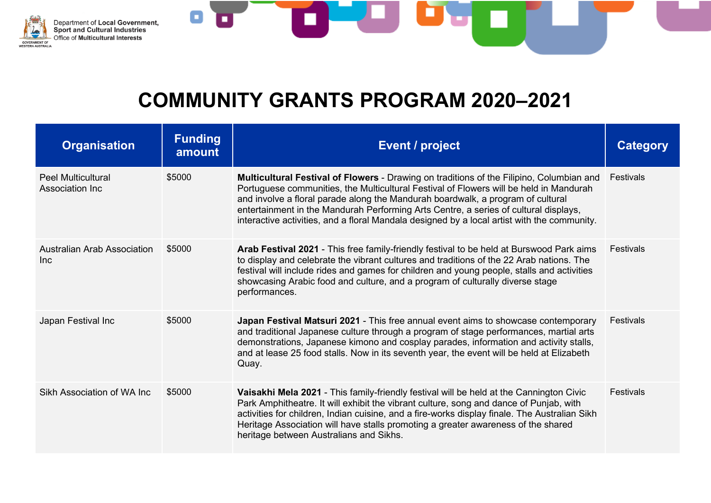



| <b>Organisation</b>                              | <b>Funding</b><br>amount | <b>Event / project</b>                                                                                                                                                                                                                                                                                                                                                                                                                                              | <b>Category</b>  |
|--------------------------------------------------|--------------------------|---------------------------------------------------------------------------------------------------------------------------------------------------------------------------------------------------------------------------------------------------------------------------------------------------------------------------------------------------------------------------------------------------------------------------------------------------------------------|------------------|
| <b>Peel Multicultural</b><br>Association Inc     | \$5000                   | <b>Multicultural Festival of Flowers - Drawing on traditions of the Filipino, Columbian and</b><br>Portuguese communities, the Multicultural Festival of Flowers will be held in Mandurah<br>and involve a floral parade along the Mandurah boardwalk, a program of cultural<br>entertainment in the Mandurah Performing Arts Centre, a series of cultural displays,<br>interactive activities, and a floral Mandala designed by a local artist with the community. | <b>Festivals</b> |
| <b>Australian Arab Association</b><br><b>Inc</b> | \$5000                   | Arab Festival 2021 - This free family-friendly festival to be held at Burswood Park aims<br>to display and celebrate the vibrant cultures and traditions of the 22 Arab nations. The<br>festival will include rides and games for children and young people, stalls and activities<br>showcasing Arabic food and culture, and a program of culturally diverse stage<br>performances.                                                                                | <b>Festivals</b> |
| Japan Festival Inc                               | \$5000                   | Japan Festival Matsuri 2021 - This free annual event aims to showcase contemporary<br>and traditional Japanese culture through a program of stage performances, martial arts<br>demonstrations, Japanese kimono and cosplay parades, information and activity stalls,<br>and at lease 25 food stalls. Now in its seventh year, the event will be held at Elizabeth<br>Quay.                                                                                         | <b>Festivals</b> |
| Sikh Association of WA Inc                       | \$5000                   | Vaisakhi Mela 2021 - This family-friendly festival will be held at the Cannington Civic<br>Park Amphitheatre. It will exhibit the vibrant culture, song and dance of Punjab, with<br>activities for children, Indian cuisine, and a fire-works display finale. The Australian Sikh<br>Heritage Association will have stalls promoting a greater awareness of the shared<br>heritage between Australians and Sikhs.                                                  | <b>Festivals</b> |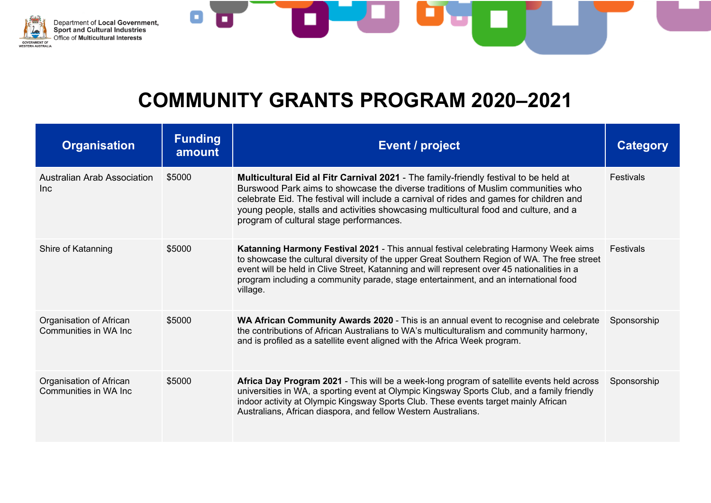



| <b>Organisation</b>                              | <b>Funding</b><br>amount | <b>Event / project</b>                                                                                                                                                                                                                                                                                                                                                                                | Category         |
|--------------------------------------------------|--------------------------|-------------------------------------------------------------------------------------------------------------------------------------------------------------------------------------------------------------------------------------------------------------------------------------------------------------------------------------------------------------------------------------------------------|------------------|
| <b>Australian Arab Association</b><br><b>Inc</b> | \$5000                   | Multicultural Eid al Fitr Carnival 2021 - The family-friendly festival to be held at<br>Burswood Park aims to showcase the diverse traditions of Muslim communities who<br>celebrate Eid. The festival will include a carnival of rides and games for children and<br>young people, stalls and activities showcasing multicultural food and culture, and a<br>program of cultural stage performances. | Festivals        |
| Shire of Katanning                               | \$5000                   | Katanning Harmony Festival 2021 - This annual festival celebrating Harmony Week aims<br>to showcase the cultural diversity of the upper Great Southern Region of WA. The free street<br>event will be held in Clive Street, Katanning and will represent over 45 nationalities in a<br>program including a community parade, stage entertainment, and an international food<br>village.               | <b>Festivals</b> |
| Organisation of African<br>Communities in WA Inc | \$5000                   | WA African Community Awards 2020 - This is an annual event to recognise and celebrate<br>the contributions of African Australians to WA's multiculturalism and community harmony,<br>and is profiled as a satellite event aligned with the Africa Week program.                                                                                                                                       | Sponsorship      |
| Organisation of African<br>Communities in WA Inc | \$5000                   | Africa Day Program 2021 - This will be a week-long program of satellite events held across<br>universities in WA, a sporting event at Olympic Kingsway Sports Club, and a family friendly<br>indoor activity at Olympic Kingsway Sports Club. These events target mainly African<br>Australians, African diaspora, and fellow Western Australians.                                                    | Sponsorship      |